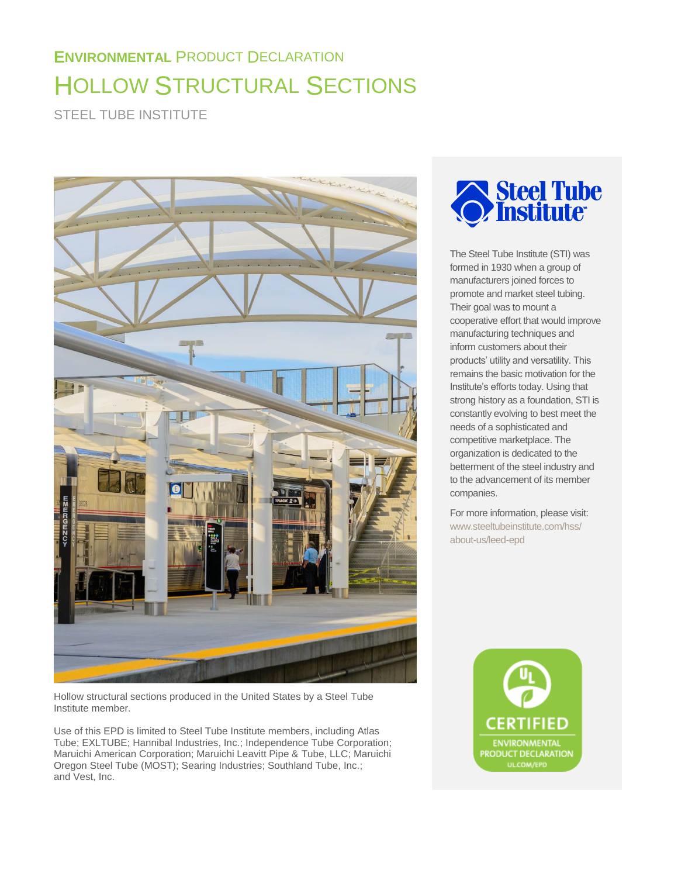# **ENVIRONMENTAL** PRODUCT DECLARATION HOLLOW STRUCTURAL SECTIONS

STEEL TUBE INSTITUTE



Hollow structural sections produced in the United States by a Steel Tube Institute member.

Use of this EPD is limited to Steel Tube Institute members, including Atlas Tube; EXLTUBE; Hannibal Industries, Inc.; Independence Tube Corporation; Maruichi American Corporation; Maruichi Leavitt Pipe & Tube, LLC; Maruichi Oregon Steel Tube (MOST); Searing Industries; Southland Tube, Inc.; and Vest, Inc.



The Steel Tube Institute (STI) was formed in 1930 when a group of manufacturers joined forces to promote and market steel tubing. Their goal was to mount a cooperative effort that would improve manufacturing techniques and inform customers about their products' utility and versatility. This remains the basic motivation for the Institute's efforts today. Using that strong history as a foundation, STI is constantly evolving to best meet the needs of a sophisticated and competitive marketplace. The organization is dedicated to the betterment of the steel industry and to the advancement of its member companies.

For more information, please visit: [www.steeltubeinstitute.com/hss/](http://www.steeltubeinstitute.com/hss/about-us/leed-epd)  [about-us/leed-epd](http://www.steeltubeinstitute.com/hss/about-us/leed-epd)

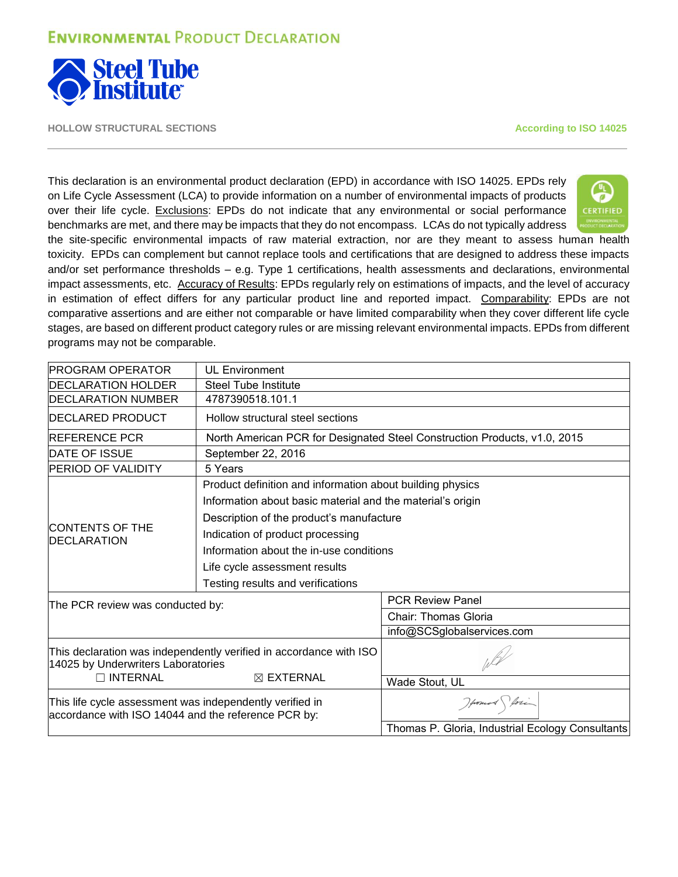

**HOLLOW STRUCTURAL SECTIONS According to ISO 14025**

This declaration is an environmental product declaration (EPD) in accordance with ISO 14025. EPDs rely on Life Cycle Assessment (LCA) to provide information on a number of environmental impacts of products over their life cycle. Exclusions: EPDs do not indicate that any environmental or social performance benchmarks are met, and there may be impacts that they do not encompass. LCAs do not typically address



the site-specific environmental impacts of raw material extraction, nor are they meant to assess human health toxicity. EPDs can complement but cannot replace tools and certifications that are designed to address these impacts and/or set performance thresholds – e.g. Type 1 certifications, health assessments and declarations, environmental impact assessments, etc. Accuracy of Results: EPDs regularly rely on estimations of impacts, and the level of accuracy in estimation of effect differs for any particular product line and reported impact. Comparability: EPDs are not comparative assertions and are either not comparable or have limited comparability when they cover different life cycle stages, are based on different product category rules or are missing relevant environmental impacts. EPDs from different programs may not be comparable.

| <b>PROGRAM OPERATOR</b>                                                                                         | <b>UL Environment</b>                                      |                                                                           |  |  |  |  |
|-----------------------------------------------------------------------------------------------------------------|------------------------------------------------------------|---------------------------------------------------------------------------|--|--|--|--|
| <b>IDECLARATION HOLDER</b>                                                                                      | Steel Tube Institute                                       |                                                                           |  |  |  |  |
| <b>DECLARATION NUMBER</b>                                                                                       | 4787390518.101.1                                           |                                                                           |  |  |  |  |
| <b>DECLARED PRODUCT</b>                                                                                         | Hollow structural steel sections                           |                                                                           |  |  |  |  |
| <b>REFERENCE PCR</b>                                                                                            |                                                            | North American PCR for Designated Steel Construction Products, v1.0, 2015 |  |  |  |  |
| <b>DATE OF ISSUE</b>                                                                                            | September 22, 2016                                         |                                                                           |  |  |  |  |
| <b>PERIOD OF VALIDITY</b>                                                                                       | 5 Years                                                    |                                                                           |  |  |  |  |
|                                                                                                                 | Product definition and information about building physics  |                                                                           |  |  |  |  |
|                                                                                                                 | Information about basic material and the material's origin |                                                                           |  |  |  |  |
|                                                                                                                 | Description of the product's manufacture                   |                                                                           |  |  |  |  |
| <b>CONTENTS OF THE</b><br><b>DECLARATION</b>                                                                    | Indication of product processing                           |                                                                           |  |  |  |  |
|                                                                                                                 | Information about the in-use conditions                    |                                                                           |  |  |  |  |
|                                                                                                                 | Life cycle assessment results                              |                                                                           |  |  |  |  |
|                                                                                                                 | Testing results and verifications                          |                                                                           |  |  |  |  |
| The PCR review was conducted by:                                                                                |                                                            | <b>PCR Review Panel</b>                                                   |  |  |  |  |
|                                                                                                                 |                                                            | <b>Chair: Thomas Gloria</b>                                               |  |  |  |  |
|                                                                                                                 |                                                            | info@SCSglobalservices.com                                                |  |  |  |  |
| This declaration was independently verified in accordance with ISO<br>14025 by Underwriters Laboratories        |                                                            |                                                                           |  |  |  |  |
| $\Box$ INTERNAL                                                                                                 | $\boxtimes$ EXTERNAL                                       | Wade Stout, UL                                                            |  |  |  |  |
| This life cycle assessment was independently verified in<br>accordance with ISO 14044 and the reference PCR by: |                                                            | Howard forin                                                              |  |  |  |  |
|                                                                                                                 |                                                            | Thomas P. Gloria, Industrial Ecology Consultants                          |  |  |  |  |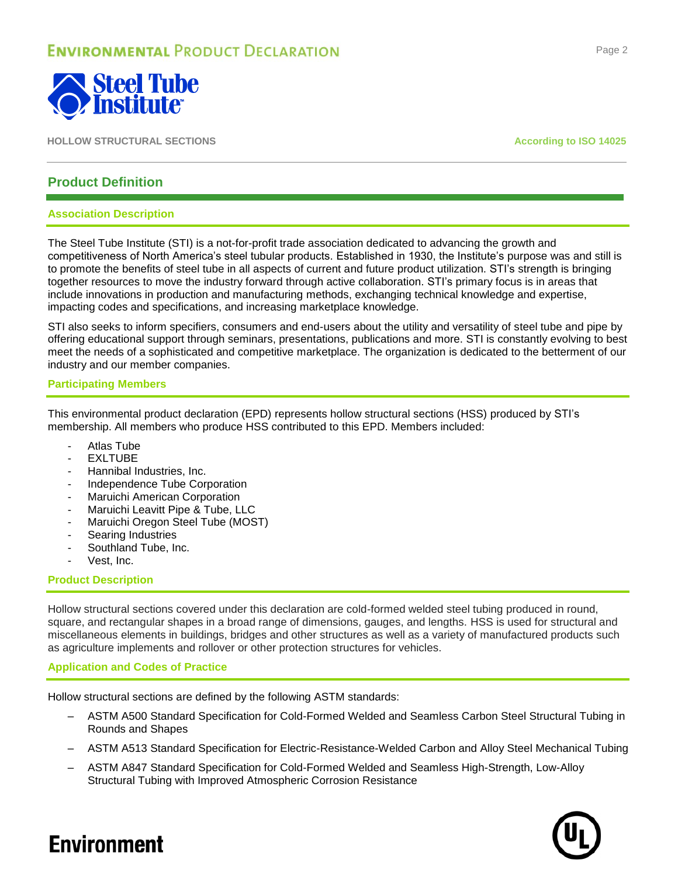

**HOLLOW STRUCTURAL SECTIONS According to ISO 14025**

### **Product Definition**

### **Association Description**

The Steel Tube Institute (STI) is a not-for-profit trade association dedicated to advancing the growth and competitiveness of North America's steel tubular products. Established in 1930, the Institute's purpose was and still is to promote the benefits of steel tube in all aspects of current and future product utilization. STI's strength is bringing together resources to move the industry forward through active collaboration. STI's primary focus is in areas that include innovations in production and manufacturing methods, exchanging technical knowledge and expertise, impacting codes and specifications, and increasing marketplace knowledge.

STI also seeks to inform specifiers, consumers and end-users about the utility and versatility of steel tube and pipe by offering educational support through seminars, presentations, publications and more. STI is constantly evolving to best meet the needs of a sophisticated and competitive marketplace. The organization is dedicated to the betterment of our industry and our member companies.

### **Participating Members**

This environmental product declaration (EPD) represents hollow structural sections (HSS) produced by STI's membership. All members who produce HSS contributed to this EPD. Members included:

- Atlas Tube
- **EXLTUBE**
- Hannibal Industries, Inc.
- Independence Tube Corporation
- Maruichi American Corporation
- Maruichi Leavitt Pipe & Tube, LLC
- Maruichi Oregon Steel Tube (MOST)
- Searing Industries
- Southland Tube, Inc.
- Vest, Inc.

### **Product Description**

Hollow structural sections covered under this declaration are cold-formed welded steel tubing produced in round, square, and rectangular shapes in a broad range of dimensions, gauges, and lengths. HSS is used for structural and miscellaneous elements in buildings, bridges and other structures as well as a variety of manufactured products such as agriculture implements and rollover or other protection structures for vehicles.

### **Application and Codes of Practice**

Hollow structural sections are defined by the following ASTM standards:

- ASTM A500 Standard Specification for Cold-Formed Welded and Seamless Carbon Steel Structural Tubing in Rounds and Shapes
- ASTM A513 Standard Specification for Electric-Resistance-Welded Carbon and Alloy Steel Mechanical Tubing
- ASTM A847 Standard Specification for Cold-Formed Welded and Seamless High-Strength, Low-Alloy Structural Tubing with Improved Atmospheric Corrosion Resistance



#### Page 2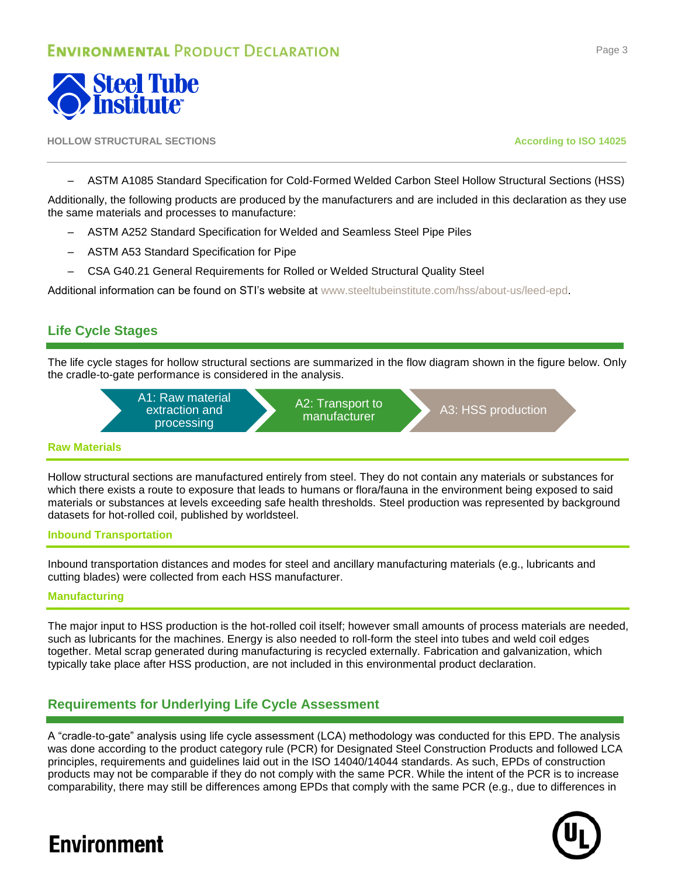

#### **HOLLOW STRUCTURAL SECTIONS According to ISO 14025**

– ASTM A1085 Standard Specification for Cold-Formed Welded Carbon Steel Hollow Structural Sections (HSS)

Additionally, the following products are produced by the manufacturers and are included in this declaration as they use the same materials and processes to manufacture:

- ASTM A252 Standard Specification for Welded and Seamless Steel Pipe Piles
- ASTM A53 Standard Specification for Pipe
- CSA G40.21 General Requirements for Rolled or Welded Structural Quality Steel

Additional information can be found on STI's website at [www.steeltubeinstitute.com/hss/about-us/leed-epd.](http://www.steeltubeinstitute.com/hss/about-us/leed-epd)

### **Life Cycle Stages**

The life cycle stages for hollow structural sections are summarized in the flow diagram shown in the figure below. Only the cradle-to-gate performance is considered in the analysis.



### **Raw Materials**

Hollow structural sections are manufactured entirely from steel. They do not contain any materials or substances for which there exists a route to exposure that leads to humans or flora/fauna in the environment being exposed to said materials or substances at levels exceeding safe health thresholds. Steel production was represented by background datasets for hot-rolled coil, published by worldsteel.

### **Inbound Transportation**

Inbound transportation distances and modes for steel and ancillary manufacturing materials (e.g., lubricants and cutting blades) were collected from each HSS manufacturer.

### **Manufacturing**

The major input to HSS production is the hot-rolled coil itself; however small amounts of process materials are needed, such as lubricants for the machines. Energy is also needed to roll-form the steel into tubes and weld coil edges together. Metal scrap generated during manufacturing is recycled externally. Fabrication and galvanization, which typically take place after HSS production, are not included in this environmental product declaration.

### **Requirements for Underlying Life Cycle Assessment**

A "cradle-to-gate" analysis using life cycle assessment (LCA) methodology was conducted for this EPD. The analysis was done according to the product category rule (PCR) for Designated Steel Construction Products and followed LCA principles, requirements and guidelines laid out in the ISO 14040/14044 standards. As such, EPDs of construction products may not be comparable if they do not comply with the same PCR. While the intent of the PCR is to increase comparability, there may still be differences among EPDs that comply with the same PCR (e.g., due to differences in

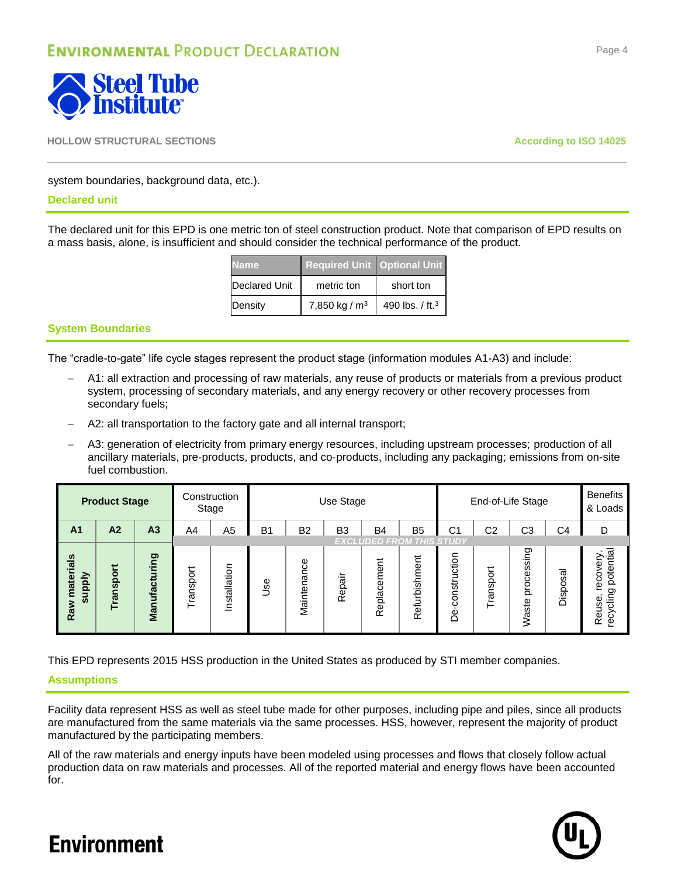

### system boundaries, background data, etc.).

### **Declared unit**

The declared unit for this EPD is one metric ton of steel construction product. Note that comparison of EPD results on a mass basis, alone, is insufficient and should consider the technical performance of the product.

| lame                 | <b>Required Unit   Optional Unit  </b> |                             |
|----------------------|----------------------------------------|-----------------------------|
| <b>Declared Unit</b> | metric ton                             | short ton                   |
| Density              | 7,850 kg / $m3$                        | 490 lbs. / ft. <sup>3</sup> |

### **System Boundaries**

The "cradle-to-gate" life cycle stages represent the product stage (information modules A1-A3) and include:

- A1: all extraction and processing of raw materials, any reuse of products or materials from a previous product system, processing of secondary materials, and any energy recovery or other recovery processes from secondary fuels;
- A2: all transportation to the factory gate and all internal transport;
- A3: generation of electricity from primary energy resources, including upstream processes; production of all ancillary materials, pre‐products, products, and co‐products, including any packaging; emissions from on-site fuel combustion.

|                                | <b>Product Stage</b> |                |               | Construction<br>Stage | Use Stage                                                             |             |            | End-of-Life Stage               |                   |                    | <b>Benefits</b><br>& Loads |                                                                  |          |                                                |
|--------------------------------|----------------------|----------------|---------------|-----------------------|-----------------------------------------------------------------------|-------------|------------|---------------------------------|-------------------|--------------------|----------------------------|------------------------------------------------------------------|----------|------------------------------------------------|
| A <sub>1</sub>                 | A2                   | A <sub>3</sub> | A4            | A5                    | B <sub>2</sub><br>B <sub>3</sub><br><b>B4</b><br>B <sub>5</sub><br>B1 |             |            |                                 | С1                | C <sub>2</sub>     | CЗ                         | C4                                                               | D        |                                                |
|                                |                      |                |               |                       |                                                                       |             |            | <b>EXCLUDED FROM THIS STUDY</b> |                   |                    |                            |                                                                  |          |                                                |
| materials<br>Nad<br>ត្ត<br>Raw | ansport<br>Ĕ         | Manufacturing  | ransport<br>⊢ | Installation          | Jse                                                                   | Maintenance | epair<br>≃ | Replacement                     | efurbishment<br>œ | construction<br>பீ | Transport                  | sing<br>ŵ<br>Φ<br>ğ<br>$\overline{\mathbf{C}}$<br>ste<br>й<br>Ха | Disposal | potential<br>هٔ<br>reco<br>recycling<br>Reuse, |

This EPD represents 2015 HSS production in the United States as produced by STI member companies.

### **Assumptions**

Facility data represent HSS as well as steel tube made for other purposes, including pipe and piles, since all products are manufactured from the same materials via the same processes. HSS, however, represent the majority of product manufactured by the participating members.

All of the raw materials and energy inputs have been modeled using processes and flows that closely follow actual production data on raw materials and processes. All of the reported material and energy flows have been accounted for.



### Page 4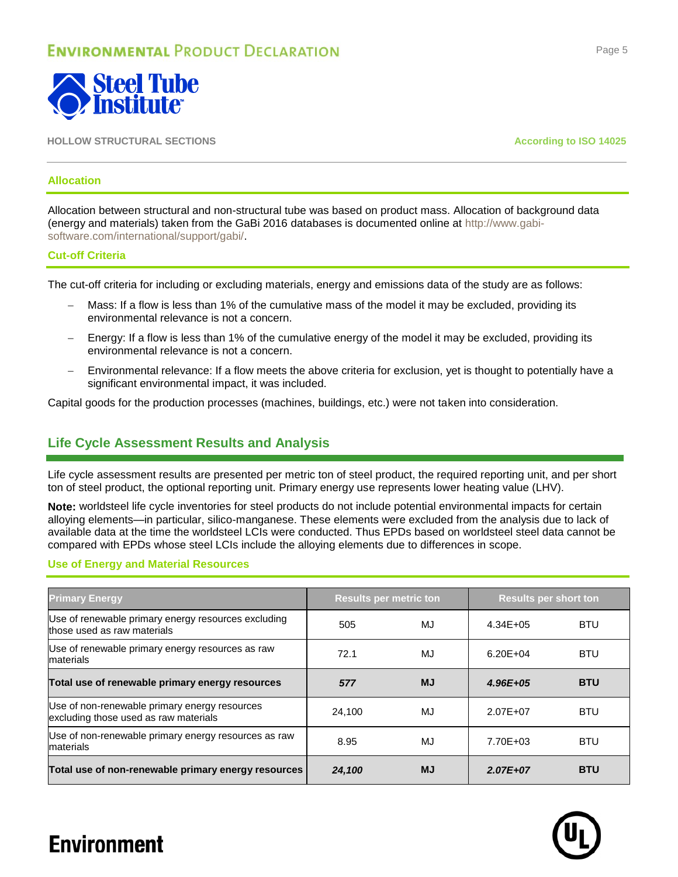

### **Allocation**

Allocation between structural and non-structural tube was based on product mass. Allocation of background data (energy and materials) taken from the GaBi 2016 databases is documented online at [http://www.gabi](http://www.gabi-software.com/international/support/gabi/)[software.com/international/support/gabi/.](http://www.gabi-software.com/international/support/gabi/)

### **Cut-off Criteria**

The cut-off criteria for including or excluding materials, energy and emissions data of the study are as follows:

- Mass: If a flow is less than 1% of the cumulative mass of the model it may be excluded, providing its environmental relevance is not a concern.
- Energy: If a flow is less than 1% of the cumulative energy of the model it may be excluded, providing its environmental relevance is not a concern.
- Environmental relevance: If a flow meets the above criteria for exclusion, yet is thought to potentially have a significant environmental impact, it was included.

Capital goods for the production processes (machines, buildings, etc.) were not taken into consideration.

### **Life Cycle Assessment Results and Analysis**

Life cycle assessment results are presented per metric ton of steel product, the required reporting unit, and per short ton of steel product, the optional reporting unit. Primary energy use represents lower heating value (LHV).

**Note:** worldsteel life cycle inventories for steel products do not include potential environmental impacts for certain alloying elements—in particular, silico-manganese. These elements were excluded from the analysis due to lack of available data at the time the worldsteel LCIs were conducted. Thus EPDs based on worldsteel steel data cannot be compared with EPDs whose steel LCIs include the alloying elements due to differences in scope.

### **Use of Energy and Material Resources**

| <b>Primary Energy</b>                                                                  | <b>Results per metric ton</b> |           | <b>Results per short ton</b> |            |  |
|----------------------------------------------------------------------------------------|-------------------------------|-----------|------------------------------|------------|--|
| Use of renewable primary energy resources excluding<br>those used as raw materials     | 505                           | MJ        | $4.34E + 05$                 | <b>BTU</b> |  |
| Use of renewable primary energy resources as raw<br>materials                          | 72.1                          | MJ        | $6.20E + 04$                 | <b>BTU</b> |  |
| Total use of renewable primary energy resources                                        | 577                           | <b>MJ</b> | 4.96E+05                     | <b>BTU</b> |  |
| Use of non-renewable primary energy resources<br>excluding those used as raw materials | 24.100                        | MJ        | 2.07E+07                     | <b>BTU</b> |  |
| Use of non-renewable primary energy resources as raw<br>materials                      | 8.95                          | MJ        | 7.70E+03                     | <b>BTU</b> |  |
| Total use of non-renewable primary energy resources                                    | 24,100                        | <b>MJ</b> | 2.07E+07                     | <b>BTU</b> |  |

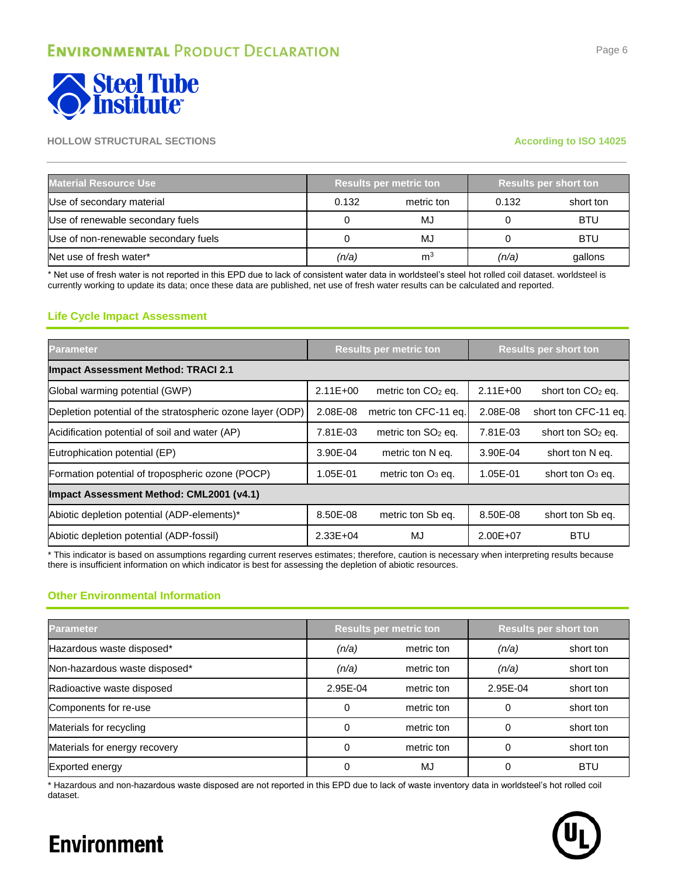

| <b>Material Resource Use</b>         |       | <b>Results per metric ton</b> | <b>Results per short ton</b> |            |  |
|--------------------------------------|-------|-------------------------------|------------------------------|------------|--|
| Use of secondary material            | 0.132 | metric ton                    | 0.132                        | short ton  |  |
| Use of renewable secondary fuels     |       | MJ                            |                              | <b>BTU</b> |  |
| Use of non-renewable secondary fuels |       | MJ                            |                              | <b>BTU</b> |  |
| Net use of fresh water*              | (n/a) | m <sup>3</sup>                | (n/a)                        | gallons    |  |

\* Net use of fresh water is not reported in this EPD due to lack of consistent water data in worldsteel's steel hot rolled coil dataset. worldsteel is currently working to update its data; once these data are published, net use of fresh water results can be calculated and reported.

### **Life Cycle Impact Assessment**

| <b>Parameter</b>                                           | <b>Results per metric ton</b> |                       |              | <b>Results per short ton</b>  |  |  |  |
|------------------------------------------------------------|-------------------------------|-----------------------|--------------|-------------------------------|--|--|--|
| <b>Impact Assessment Method: TRACI 2.1</b>                 |                               |                       |              |                               |  |  |  |
| Global warming potential (GWP)                             | $2.11E + 00$                  | metric ton $CO2$ eq.  | $2.11E + 00$ | short ton CO <sub>2</sub> eq. |  |  |  |
| Depletion potential of the stratospheric ozone layer (ODP) | 2.08E-08                      | metric ton CFC-11 eq. | 2.08E-08     | short ton CFC-11 eq.          |  |  |  |
| Acidification potential of soil and water (AP)             | 7.81E-03                      | metric ton $SO2$ eq.  | 7.81E-03     | short ton SO <sub>2</sub> eq. |  |  |  |
| Eutrophication potential (EP)                              | 3.90E-04                      | metric ton N eq.      | 3.90E-04     | short ton N eq.               |  |  |  |
| Formation potential of tropospheric ozone (POCP)           | 1.05E-01                      | metric ton $O_3$ eq.  | 1.05E-01     | short ton $O_3$ eq.           |  |  |  |
| Impact Assessment Method: CML2001 (v4.1)                   |                               |                       |              |                               |  |  |  |
| Abiotic depletion potential (ADP-elements)*                | 8.50E-08                      | metric ton Sb eq.     | 8.50E-08     | short ton Sb eq.              |  |  |  |
| Abiotic depletion potential (ADP-fossil)                   | $2.33E + 04$                  | MJ                    | 2.00E+07     | <b>BTU</b>                    |  |  |  |

\* This indicator is based on assumptions regarding current reserves estimates; therefore, caution is necessary when interpreting results because there is insufficient information on which indicator is best for assessing the depletion of abiotic resources.

### **Other Environmental Information**

| <b>Parameter</b>              |          | <b>Results per metric ton</b> | <b>Results per short ton</b> |            |  |
|-------------------------------|----------|-------------------------------|------------------------------|------------|--|
| Hazardous waste disposed*     | (n/a)    | metric ton                    | (n/a)                        | short ton  |  |
| Non-hazardous waste disposed* | (n/a)    | metric ton                    | (n/a)                        | short ton  |  |
| Radioactive waste disposed    | 2.95E-04 | metric ton                    | 2.95E-04                     | short ton  |  |
| Components for re-use         |          | metric ton                    |                              | short ton  |  |
| Materials for recycling       |          | metric ton                    |                              | short ton  |  |
| Materials for energy recovery |          | metric ton                    |                              | short ton  |  |
| Exported energy               |          | MJ                            |                              | <b>BTU</b> |  |

\* Hazardous and non-hazardous waste disposed are not reported in this EPD due to lack of waste inventory data in worldsteel's hot rolled coil dataset.

Page 6

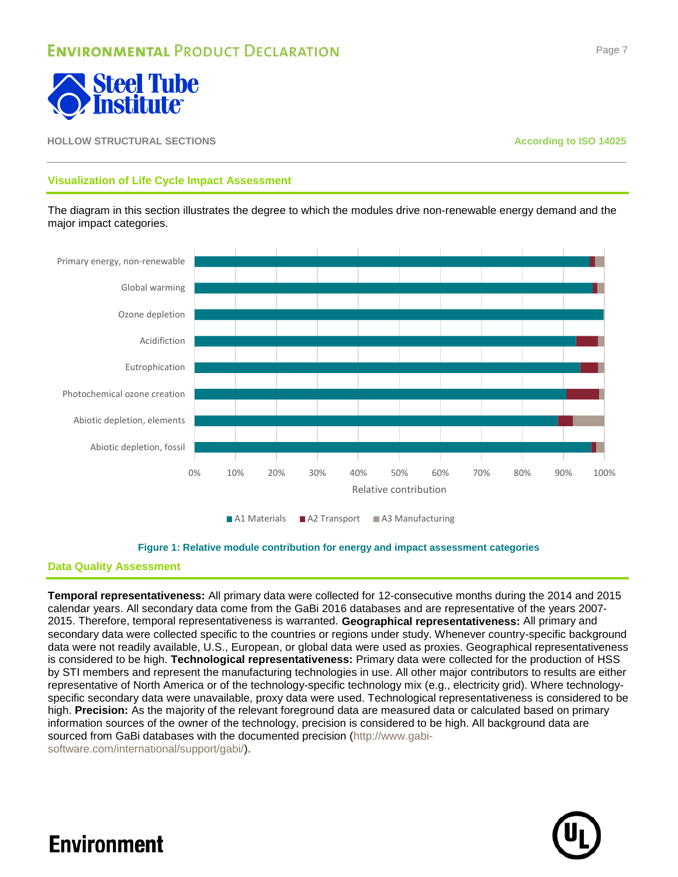

### **Visualization of Life Cycle Impact Assessment**

The diagram in this section illustrates the degree to which the modules drive non-renewable energy demand and the major impact categories.



■ A1 Materials ■ A2 Transport ■ A3 Manufacturing

#### **Figure 1: Relative module contribution for energy and impact assessment categories**

### **Data Quality Assessment**

**Temporal representativeness:** All primary data were collected for 12-consecutive months during the 2014 and 2015 calendar years. All secondary data come from the GaBi 2016 databases and are representative of the years 2007- 2015. Therefore, temporal representativeness is warranted. **Geographical representativeness:** All primary and secondary data were collected specific to the countries or regions under study. Whenever country-specific background data were not readily available, U.S., European, or global data were used as proxies. Geographical representativeness is considered to be high. **Technological representativeness:** Primary data were collected for the production of HSS by STI members and represent the manufacturing technologies in use. All other major contributors to results are either representative of North America or of the technology-specific technology mix (e.g., electricity grid). Where technologyspecific secondary data were unavailable, proxy data were used. Technological representativeness is considered to be high. **Precision:** As the majority of the relevant foreground data are measured data or calculated based on primary information sources of the owner of the technology, precision is considered to be high. All background data are sourced from GaBi databases with the documented precision [\(http://www.gabi-](http://www.gabi-software.com/international/support/gabi/)

[software.com/international/support/gabi/\)](http://www.gabi-software.com/international/support/gabi/).